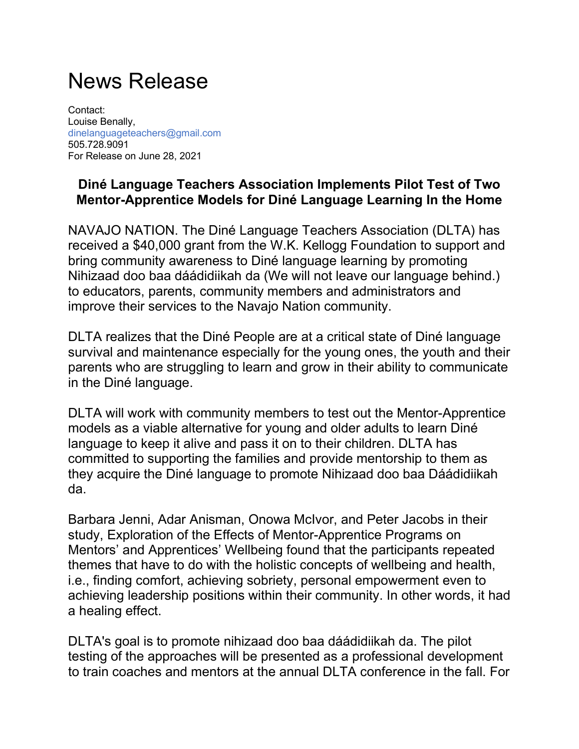## News Release

Contact: Louise Benally, dinelanguageteachers@gmail.com 505.728.9091 For Release on June 28, 2021

## **Diné Language Teachers Association Implements Pilot Test of Two Mentor-Apprentice Models for Diné Language Learning In the Home**

NAVAJO NATION. The Diné Language Teachers Association (DLTA) has received a \$40,000 grant from the W.K. Kellogg Foundation to support and bring community awareness to Diné language learning by promoting Nihizaad doo baa dáádidiikah da (We will not leave our language behind.) to educators, parents, community members and administrators and improve their services to the Navajo Nation community.

DLTA realizes that the Diné People are at a critical state of Diné language survival and maintenance especially for the young ones, the youth and their parents who are struggling to learn and grow in their ability to communicate in the Diné language.

DLTA will work with community members to test out the Mentor-Apprentice models as a viable alternative for young and older adults to learn Diné language to keep it alive and pass it on to their children. DLTA has committed to supporting the families and provide mentorship to them as they acquire the Diné language to promote Nihizaad doo baa Dáádidiikah da.

Barbara Jenni, Adar Anisman, Onowa McIvor, and Peter Jacobs in their study, Exploration of the Effects of Mentor-Apprentice Programs on Mentors' and Apprentices' Wellbeing found that the participants repeated themes that have to do with the holistic concepts of wellbeing and health, i.e., finding comfort, achieving sobriety, personal empowerment even to achieving leadership positions within their community. In other words, it had a healing effect.

DLTA's goal is to promote nihizaad doo baa dáádidiikah da. The pilot testing of the approaches will be presented as a professional development to train coaches and mentors at the annual DLTA conference in the fall. For